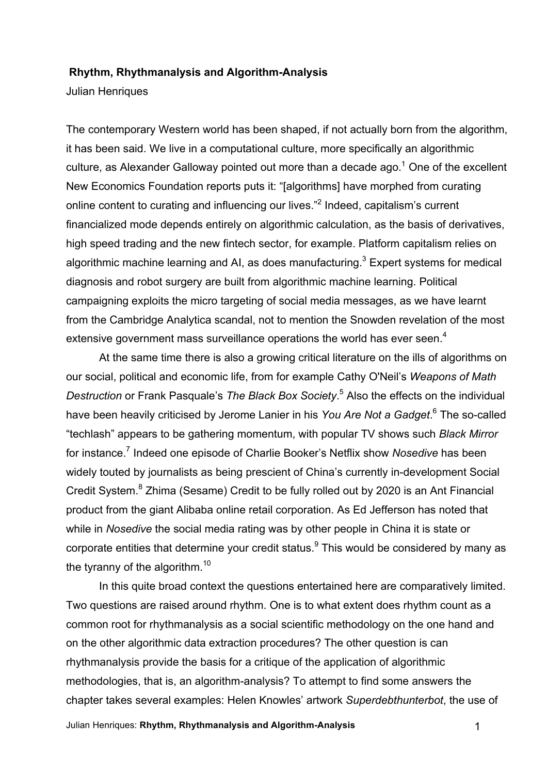#### **Rhythm, Rhythmanalysis and Algorithm-Analysis**

Julian Henriques

The contemporary Western world has been shaped, if not actually born from the algorithm, it has been said. We live in a computational culture, more specifically an algorithmic culture, as Alexander Galloway pointed out more than a decade ago.<sup>1</sup> One of the excellent New Economics Foundation reports puts it: "[algorithms] have morphed from curating online content to curating and influencing our lives."<sup>2</sup> Indeed, capitalism's current financialized mode depends entirely on algorithmic calculation, as the basis of derivatives, high speed trading and the new fintech sector, for example. Platform capitalism relies on algorithmic machine learning and AI, as does manufacturing.<sup>3</sup> Expert systems for medical diagnosis and robot surgery are built from algorithmic machine learning. Political campaigning exploits the micro targeting of social media messages, as we have learnt from the Cambridge Analytica scandal, not to mention the Snowden revelation of the most extensive government mass surveillance operations the world has ever seen.<sup>4</sup>

At the same time there is also a growing critical literature on the ills of algorithms on our social, political and economic life, from for example Cathy O'Neil's *Weapons of Math Destruction* or Frank Pasquale's *The Black Box Society*. <sup>5</sup> Also the effects on the individual have been heavily criticised by Jerome Lanier in his *You Are Not a Gadget*. <sup>6</sup> The so-called "techlash" appears to be gathering momentum, with popular TV shows such *Black Mirror* for instance. <sup>7</sup> Indeed one episode of Charlie Booker's Netflix show *Nosedive* has been widely touted by journalists as being prescient of China's currently in-development Social Credit System.<sup>8</sup> Zhima (Sesame) Credit to be fully rolled out by 2020 is an Ant Financial product from the giant Alibaba online retail corporation. As Ed Jefferson has noted that while in *Nosedive* the social media rating was by other people in China it is state or corporate entities that determine your credit status. $9$  This would be considered by many as the tyranny of the algorithm. $10$ 

In this quite broad context the questions entertained here are comparatively limited. Two questions are raised around rhythm. One is to what extent does rhythm count as a common root for rhythmanalysis as a social scientific methodology on the one hand and on the other algorithmic data extraction procedures? The other question is can rhythmanalysis provide the basis for a critique of the application of algorithmic methodologies, that is, an algorithm-analysis? To attempt to find some answers the chapter takes several examples: Helen Knowles' artwork *Superdebthunterbot*, the use of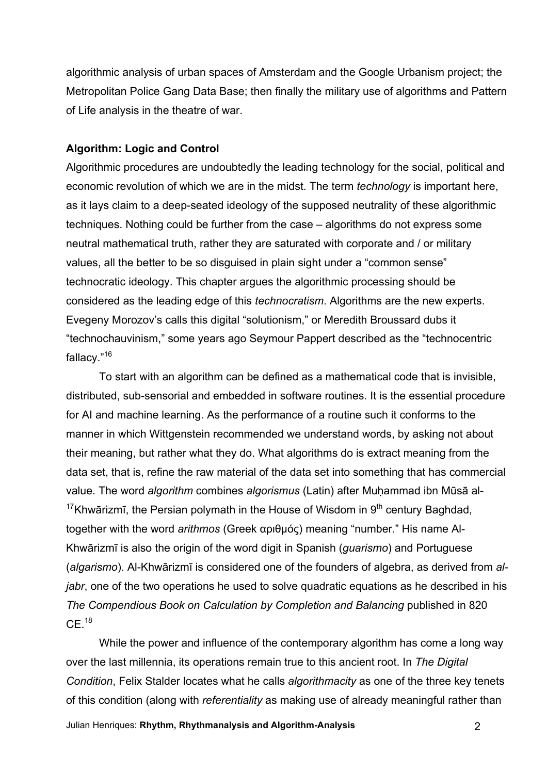algorithmic analysis of urban spaces of Amsterdam and the Google Urbanism project; the Metropolitan Police Gang Data Base; then finally the military use of algorithms and Pattern of Life analysis in the theatre of war.

### **Algorithm: Logic and Control**

Algorithmic procedures are undoubtedly the leading technology for the social, political and economic revolution of which we are in the midst. The term *technology* is important here, as it lays claim to a deep-seated ideology of the supposed neutrality of these algorithmic techniques. Nothing could be further from the case – algorithms do not express some neutral mathematical truth, rather they are saturated with corporate and / or military values, all the better to be so disguised in plain sight under a "common sense" technocratic ideology. This chapter argues the algorithmic processing should be considered as the leading edge of this *technocratism*. Algorithms are the new experts. Evegeny Morozov's calls this digital "solutionism," or Meredith Broussard dubs it "technochauvinism," some years ago Seymour Pappert described as the "technocentric fallacy."16

To start with an algorithm can be defined as a mathematical code that is invisible, distributed, sub-sensorial and embedded in software routines. It is the essential procedure for AI and machine learning. As the performance of a routine such it conforms to the manner in which Wittgenstein recommended we understand words, by asking not about their meaning, but rather what they do. What algorithms do is extract meaning from the data set, that is, refine the raw material of the data set into something that has commercial value. The word *algorithm* combines *algorismus* (Latin) after Muḥammad ibn Mūsā al-<sup>17</sup>Khwārizmī, the Persian polymath in the House of Wisdom in  $9<sup>th</sup>$  century Baghdad, together with the word *arithmos* (Greek αριθµός) meaning "number." His name Al-Khwārizmī is also the origin of the word digit in Spanish (*guarismo*) and Portuguese (*algarismo*). Al-Khwārizmī is considered one of the founders of algebra, as derived from *aljabr*, one of the two operations he used to solve quadratic equations as he described in his *The Compendious Book on Calculation by Completion and Balancing* published in 820  $CF<sup>18</sup>$ 

While the power and influence of the contemporary algorithm has come a long way over the last millennia, its operations remain true to this ancient root. In *The Digital Condition*, Felix Stalder locates what he calls *algorithmacity* as one of the three key tenets of this condition (along with *referentiality* as making use of already meaningful rather than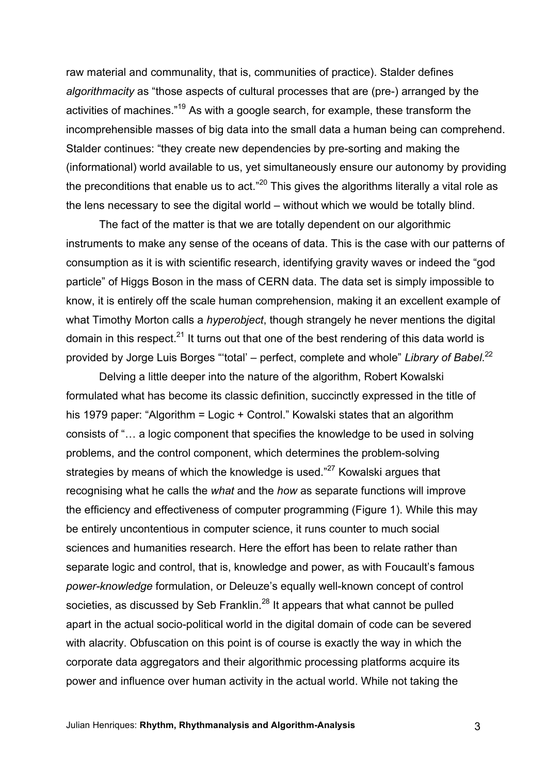raw material and communality, that is, communities of practice). Stalder defines *algorithmacity* as "those aspects of cultural processes that are (pre-) arranged by the activities of machines."<sup>19</sup> As with a google search, for example, these transform the incomprehensible masses of big data into the small data a human being can comprehend. Stalder continues: "they create new dependencies by pre-sorting and making the (informational) world available to us, yet simultaneously ensure our autonomy by providing the preconditions that enable us to act."<sup>20</sup> This gives the algorithms literally a vital role as the lens necessary to see the digital world – without which we would be totally blind.

The fact of the matter is that we are totally dependent on our algorithmic instruments to make any sense of the oceans of data. This is the case with our patterns of consumption as it is with scientific research, identifying gravity waves or indeed the "god particle" of Higgs Boson in the mass of CERN data. The data set is simply impossible to know, it is entirely off the scale human comprehension, making it an excellent example of what Timothy Morton calls a *hyperobiect*, though strangely he never mentions the digital domain in this respect.<sup>21</sup> It turns out that one of the best rendering of this data world is provided by Jorge Luis Borges "'total' – perfect, complete and whole" *Library of Babel*. 22

Delving a little deeper into the nature of the algorithm, Robert Kowalski formulated what has become its classic definition, succinctly expressed in the title of his 1979 paper: "Algorithm = Logic + Control." Kowalski states that an algorithm consists of "… a logic component that specifies the knowledge to be used in solving problems, and the control component, which determines the problem-solving strategies by means of which the knowledge is used."<sup>27</sup> Kowalski argues that recognising what he calls the *what* and the *how* as separate functions will improve the efficiency and effectiveness of computer programming (Figure 1). While this may be entirely uncontentious in computer science, it runs counter to much social sciences and humanities research. Here the effort has been to relate rather than separate logic and control, that is, knowledge and power, as with Foucault's famous *power-knowledge* formulation, or Deleuze's equally well-known concept of control societies, as discussed by Seb Franklin.<sup>28</sup> It appears that what cannot be pulled apart in the actual socio-political world in the digital domain of code can be severed with alacrity. Obfuscation on this point is of course is exactly the way in which the corporate data aggregators and their algorithmic processing platforms acquire its power and influence over human activity in the actual world. While not taking the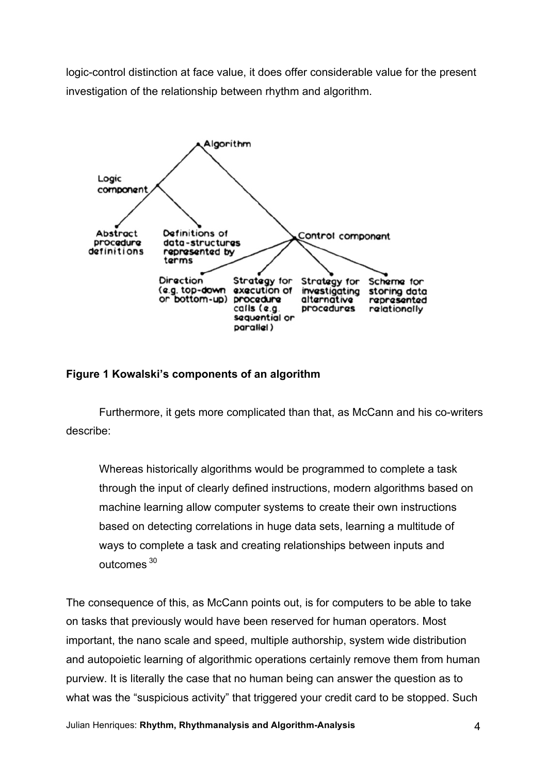logic-control distinction at face value, it does offer considerable value for the present investigation of the relationship between rhythm and algorithm.



# **Figure 1 Kowalski's components of an algorithm**

Furthermore, it gets more complicated than that, as McCann and his co-writers describe:

Whereas historically algorithms would be programmed to complete a task through the input of clearly defined instructions, modern algorithms based on machine learning allow computer systems to create their own instructions based on detecting correlations in huge data sets, learning a multitude of ways to complete a task and creating relationships between inputs and outcomes <sup>30</sup>

The consequence of this, as McCann points out, is for computers to be able to take on tasks that previously would have been reserved for human operators. Most important, the nano scale and speed, multiple authorship, system wide distribution and autopoietic learning of algorithmic operations certainly remove them from human purview. It is literally the case that no human being can answer the question as to what was the "suspicious activity" that triggered your credit card to be stopped. Such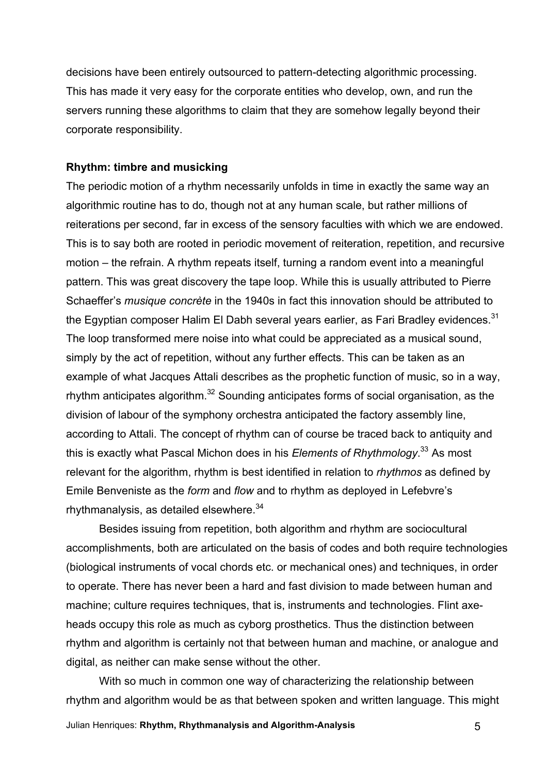decisions have been entirely outsourced to pattern-detecting algorithmic processing. This has made it very easy for the corporate entities who develop, own, and run the servers running these algorithms to claim that they are somehow legally beyond their corporate responsibility.

### **Rhythm: timbre and musicking**

The periodic motion of a rhythm necessarily unfolds in time in exactly the same way an algorithmic routine has to do, though not at any human scale, but rather millions of reiterations per second, far in excess of the sensory faculties with which we are endowed. This is to say both are rooted in periodic movement of reiteration, repetition, and recursive motion – the refrain. A rhythm repeats itself, turning a random event into a meaningful pattern. This was great discovery the tape loop. While this is usually attributed to Pierre Schaeffer's *musique concrète* in the 1940s in fact this innovation should be attributed to the Egyptian composer Halim El Dabh several years earlier, as Fari Bradley evidences.<sup>31</sup> The loop transformed mere noise into what could be appreciated as a musical sound, simply by the act of repetition, without any further effects. This can be taken as an example of what Jacques Attali describes as the prophetic function of music, so in a way, rhythm anticipates algorithm.32 Sounding anticipates forms of social organisation, as the division of labour of the symphony orchestra anticipated the factory assembly line, according to Attali. The concept of rhythm can of course be traced back to antiquity and this is exactly what Pascal Michon does in his *Elements of Rhythmology*. <sup>33</sup> As most relevant for the algorithm, rhythm is best identified in relation to *rhythmos* as defined by Emile Benveniste as the *form* and *flow* and to rhythm as deployed in Lefebvre's rhythmanalysis, as detailed elsewhere.<sup>34</sup>

Besides issuing from repetition, both algorithm and rhythm are sociocultural accomplishments, both are articulated on the basis of codes and both require technologies (biological instruments of vocal chords etc. or mechanical ones) and techniques, in order to operate. There has never been a hard and fast division to made between human and machine; culture requires techniques, that is, instruments and technologies. Flint axeheads occupy this role as much as cyborg prosthetics. Thus the distinction between rhythm and algorithm is certainly not that between human and machine, or analogue and digital, as neither can make sense without the other.

With so much in common one way of characterizing the relationship between rhythm and algorithm would be as that between spoken and written language. This might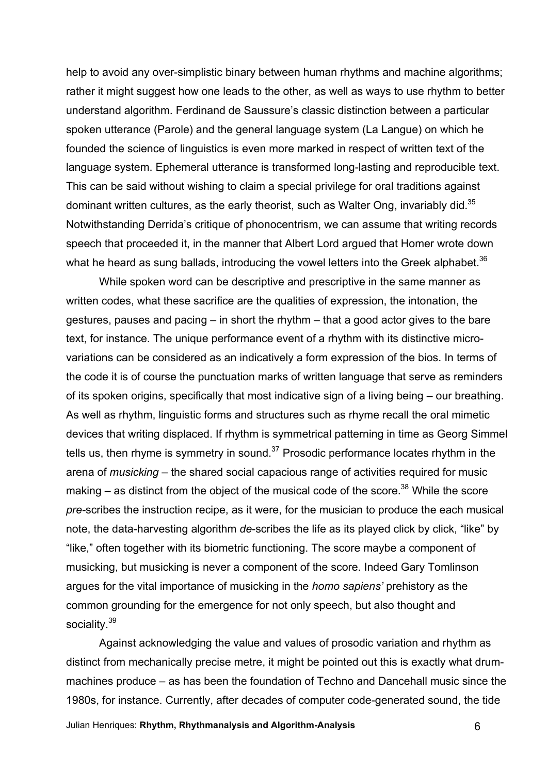help to avoid any over-simplistic binary between human rhythms and machine algorithms; rather it might suggest how one leads to the other, as well as ways to use rhythm to better understand algorithm. Ferdinand de Saussure's classic distinction between a particular spoken utterance (Parole) and the general language system (La Langue) on which he founded the science of linguistics is even more marked in respect of written text of the language system. Ephemeral utterance is transformed long-lasting and reproducible text. This can be said without wishing to claim a special privilege for oral traditions against dominant written cultures, as the early theorist, such as Walter Ong, invariably did.<sup>35</sup> Notwithstanding Derrida's critique of phonocentrism, we can assume that writing records speech that proceeded it, in the manner that Albert Lord argued that Homer wrote down what he heard as sung ballads, introducing the vowel letters into the Greek alphabet. $36$ 

While spoken word can be descriptive and prescriptive in the same manner as written codes, what these sacrifice are the qualities of expression, the intonation, the gestures, pauses and pacing – in short the rhythm – that a good actor gives to the bare text, for instance. The unique performance event of a rhythm with its distinctive microvariations can be considered as an indicatively a form expression of the bios. In terms of the code it is of course the punctuation marks of written language that serve as reminders of its spoken origins, specifically that most indicative sign of a living being – our breathing. As well as rhythm, linguistic forms and structures such as rhyme recall the oral mimetic devices that writing displaced. If rhythm is symmetrical patterning in time as Georg Simmel tells us, then rhyme is symmetry in sound. $37$  Prosodic performance locates rhythm in the arena of *musicking* – the shared social capacious range of activities required for music making  $-$  as distinct from the object of the musical code of the score.<sup>38</sup> While the score *pre-*scribes the instruction recipe, as it were, for the musician to produce the each musical note, the data-harvesting algorithm *de*-scribes the life as its played click by click, "like" by "like," often together with its biometric functioning. The score maybe a component of musicking, but musicking is never a component of the score. Indeed Gary Tomlinson argues for the vital importance of musicking in the *homo sapiens'* prehistory as the common grounding for the emergence for not only speech, but also thought and sociality.<sup>39</sup>

Against acknowledging the value and values of prosodic variation and rhythm as distinct from mechanically precise metre, it might be pointed out this is exactly what drummachines produce – as has been the foundation of Techno and Dancehall music since the 1980s, for instance. Currently, after decades of computer code-generated sound, the tide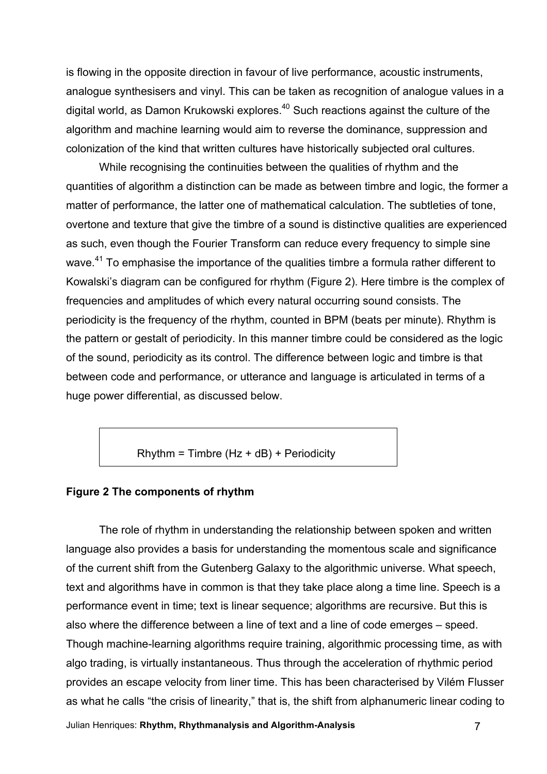is flowing in the opposite direction in favour of live performance, acoustic instruments, analogue synthesisers and vinyl. This can be taken as recognition of analogue values in a digital world, as Damon Krukowski explores.<sup>40</sup> Such reactions against the culture of the algorithm and machine learning would aim to reverse the dominance, suppression and colonization of the kind that written cultures have historically subjected oral cultures.

While recognising the continuities between the qualities of rhythm and the quantities of algorithm a distinction can be made as between timbre and logic, the former a matter of performance, the latter one of mathematical calculation. The subtleties of tone, overtone and texture that give the timbre of a sound is distinctive qualities are experienced as such, even though the Fourier Transform can reduce every frequency to simple sine wave.<sup>41</sup> To emphasise the importance of the qualities timbre a formula rather different to Kowalski's diagram can be configured for rhythm (Figure 2). Here timbre is the complex of frequencies and amplitudes of which every natural occurring sound consists. The periodicity is the frequency of the rhythm, counted in BPM (beats per minute). Rhythm is the pattern or gestalt of periodicity. In this manner timbre could be considered as the logic of the sound, periodicity as its control. The difference between logic and timbre is that between code and performance, or utterance and language is articulated in terms of a huge power differential, as discussed below.

 $R$ hythm = Timbre (Hz + dB) + Periodicity

#### **Figure 2 The components of rhythm**

The role of rhythm in understanding the relationship between spoken and written language also provides a basis for understanding the momentous scale and significance of the current shift from the Gutenberg Galaxy to the algorithmic universe. What speech, text and algorithms have in common is that they take place along a time line. Speech is a performance event in time; text is linear sequence; algorithms are recursive. But this is also where the difference between a line of text and a line of code emerges – speed. Though machine-learning algorithms require training, algorithmic processing time, as with algo trading, is virtually instantaneous. Thus through the acceleration of rhythmic period provides an escape velocity from liner time. This has been characterised by Vilém Flusser as what he calls "the crisis of linearity," that is, the shift from alphanumeric linear coding to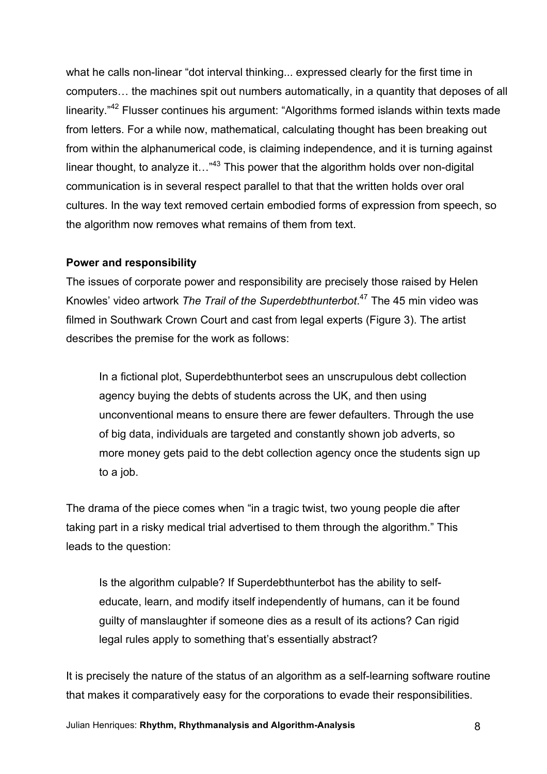what he calls non-linear "dot interval thinking... expressed clearly for the first time in computers… the machines spit out numbers automatically, in a quantity that deposes of all linearity."<sup>42</sup> Flusser continues his argument: "Algorithms formed islands within texts made from letters. For a while now, mathematical, calculating thought has been breaking out from within the alphanumerical code, is claiming independence, and it is turning against linear thought, to analyze it..."<sup>43</sup> This power that the algorithm holds over non-digital communication is in several respect parallel to that that the written holds over oral cultures. In the way text removed certain embodied forms of expression from speech, so the algorithm now removes what remains of them from text.

### **Power and responsibility**

The issues of corporate power and responsibility are precisely those raised by Helen Knowles' video artwork *The Trail of the Superdebthunterbot*. <sup>47</sup> The 45 min video was filmed in Southwark Crown Court and cast from legal experts (Figure 3). The artist describes the premise for the work as follows:

In a fictional plot, Superdebthunterbot sees an unscrupulous debt collection agency buying the debts of students across the UK, and then using unconventional means to ensure there are fewer defaulters. Through the use of big data, individuals are targeted and constantly shown job adverts, so more money gets paid to the debt collection agency once the students sign up to a job.

The drama of the piece comes when "in a tragic twist, two young people die after taking part in a risky medical trial advertised to them through the algorithm." This leads to the question:

Is the algorithm culpable? If Superdebthunterbot has the ability to selfeducate, learn, and modify itself independently of humans, can it be found guilty of manslaughter if someone dies as a result of its actions? Can rigid legal rules apply to something that's essentially abstract?

It is precisely the nature of the status of an algorithm as a self-learning software routine that makes it comparatively easy for the corporations to evade their responsibilities.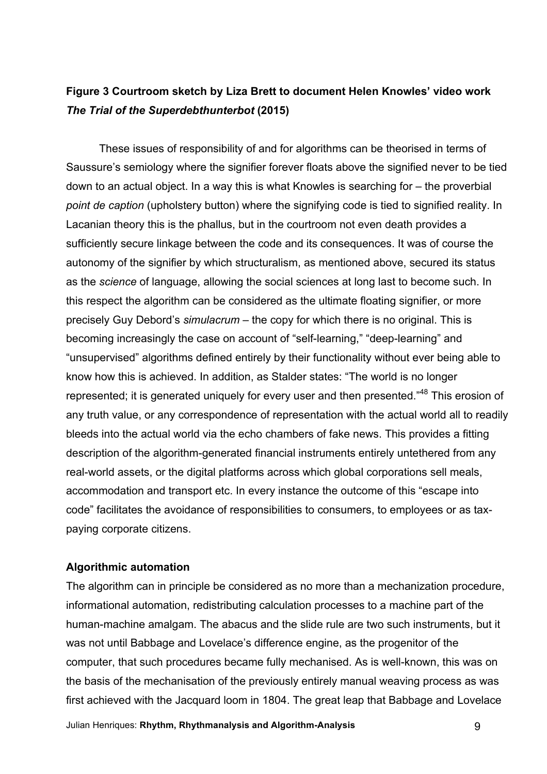# **Figure 3 Courtroom sketch by Liza Brett to document Helen Knowles' video work**  *The Trial of the Superdebthunterbot* **(2015)**

These issues of responsibility of and for algorithms can be theorised in terms of Saussure's semiology where the signifier forever floats above the signified never to be tied down to an actual object. In a way this is what Knowles is searching for – the proverbial *point de caption* (upholstery button) where the signifying code is tied to signified reality. In Lacanian theory this is the phallus, but in the courtroom not even death provides a sufficiently secure linkage between the code and its consequences. It was of course the autonomy of the signifier by which structuralism, as mentioned above, secured its status as the *science* of language, allowing the social sciences at long last to become such. In this respect the algorithm can be considered as the ultimate floating signifier, or more precisely Guy Debord's *simulacrum* – the copy for which there is no original. This is becoming increasingly the case on account of "self-learning," "deep-learning" and "unsupervised" algorithms defined entirely by their functionality without ever being able to know how this is achieved. In addition, as Stalder states: "The world is no longer represented; it is generated uniquely for every user and then presented."<sup>48</sup> This erosion of any truth value, or any correspondence of representation with the actual world all to readily bleeds into the actual world via the echo chambers of fake news. This provides a fitting description of the algorithm-generated financial instruments entirely untethered from any real-world assets, or the digital platforms across which global corporations sell meals, accommodation and transport etc. In every instance the outcome of this "escape into code" facilitates the avoidance of responsibilities to consumers, to employees or as taxpaying corporate citizens.

### **Algorithmic automation**

The algorithm can in principle be considered as no more than a mechanization procedure, informational automation, redistributing calculation processes to a machine part of the human-machine amalgam. The abacus and the slide rule are two such instruments, but it was not until Babbage and Lovelace's difference engine, as the progenitor of the computer, that such procedures became fully mechanised. As is well-known, this was on the basis of the mechanisation of the previously entirely manual weaving process as was first achieved with the Jacquard loom in 1804. The great leap that Babbage and Lovelace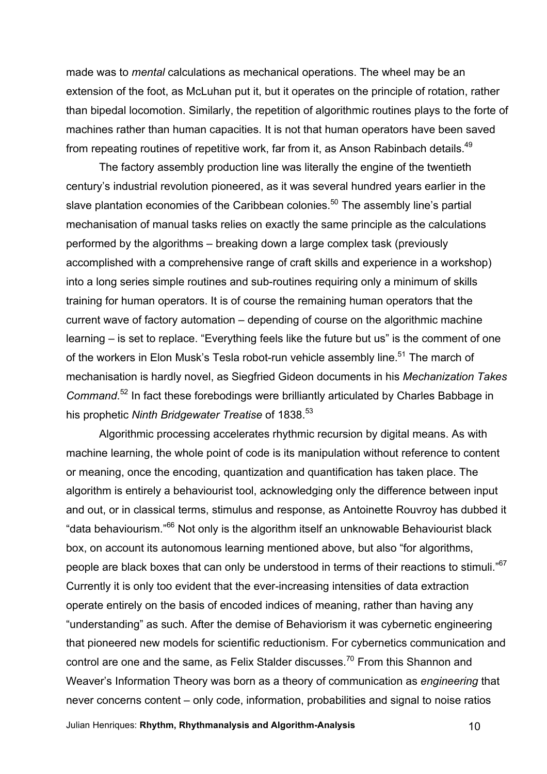made was to *mental* calculations as mechanical operations. The wheel may be an extension of the foot, as McLuhan put it, but it operates on the principle of rotation, rather than bipedal locomotion. Similarly, the repetition of algorithmic routines plays to the forte of machines rather than human capacities. It is not that human operators have been saved from repeating routines of repetitive work, far from it, as Anson Rabinbach details.<sup>49</sup>

The factory assembly production line was literally the engine of the twentieth century's industrial revolution pioneered, as it was several hundred years earlier in the slave plantation economies of the Caribbean colonies.<sup>50</sup> The assembly line's partial mechanisation of manual tasks relies on exactly the same principle as the calculations performed by the algorithms – breaking down a large complex task (previously accomplished with a comprehensive range of craft skills and experience in a workshop) into a long series simple routines and sub-routines requiring only a minimum of skills training for human operators. It is of course the remaining human operators that the current wave of factory automation – depending of course on the algorithmic machine learning – is set to replace. "Everything feels like the future but us" is the comment of one of the workers in Elon Musk's Tesla robot-run vehicle assembly line.<sup>51</sup> The march of mechanisation is hardly novel, as Siegfried Gideon documents in his *Mechanization Takes*  Command.<sup>52</sup> In fact these forebodings were brilliantly articulated by Charles Babbage in his prophetic *Ninth Bridgewater Treatise* of 1838.<sup>53</sup>

Algorithmic processing accelerates rhythmic recursion by digital means. As with machine learning, the whole point of code is its manipulation without reference to content or meaning, once the encoding, quantization and quantification has taken place. The algorithm is entirely a behaviourist tool, acknowledging only the difference between input and out, or in classical terms, stimulus and response, as Antoinette Rouvroy has dubbed it "data behaviourism."<sup>66</sup> Not only is the algorithm itself an unknowable Behaviourist black box, on account its autonomous learning mentioned above, but also "for algorithms, people are black boxes that can only be understood in terms of their reactions to stimuli."<sup>67</sup> Currently it is only too evident that the ever-increasing intensities of data extraction operate entirely on the basis of encoded indices of meaning, rather than having any "understanding" as such. After the demise of Behaviorism it was cybernetic engineering that pioneered new models for scientific reductionism. For cybernetics communication and control are one and the same, as Felix Stalder discusses.<sup>70</sup> From this Shannon and Weaver's Information Theory was born as a theory of communication as *engineering* that never concerns content – only code, information, probabilities and signal to noise ratios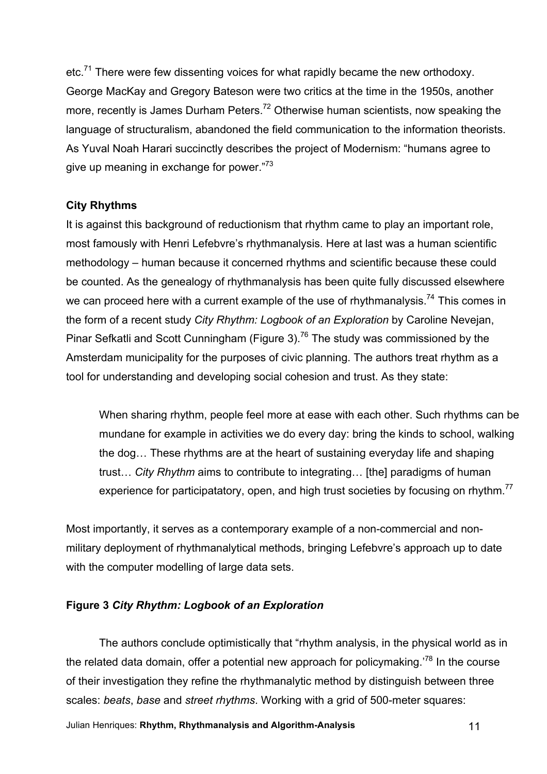etc.<sup>71</sup> There were few dissenting voices for what rapidly became the new orthodoxy. George MacKay and Gregory Bateson were two critics at the time in the 1950s, another more, recently is James Durham Peters.<sup>72</sup> Otherwise human scientists, now speaking the language of structuralism, abandoned the field communication to the information theorists. As Yuval Noah Harari succinctly describes the project of Modernism: "humans agree to give up meaning in exchange for power."<sup>73</sup>

### **City Rhythms**

It is against this background of reductionism that rhythm came to play an important role, most famously with Henri Lefebvre's rhythmanalysis. Here at last was a human scientific methodology – human because it concerned rhythms and scientific because these could be counted. As the genealogy of rhythmanalysis has been quite fully discussed elsewhere we can proceed here with a current example of the use of rhythmanalysis.<sup>74</sup> This comes in the form of a recent study *City Rhythm: Logbook of an Exploration* by Caroline Nevejan, Pinar Sefkatli and Scott Cunningham (Figure 3).<sup>76</sup> The study was commissioned by the Amsterdam municipality for the purposes of civic planning. The authors treat rhythm as a tool for understanding and developing social cohesion and trust. As they state:

When sharing rhythm, people feel more at ease with each other. Such rhythms can be mundane for example in activities we do every day: bring the kinds to school, walking the dog… These rhythms are at the heart of sustaining everyday life and shaping trust… *City Rhythm* aims to contribute to integrating… [the] paradigms of human experience for participatatory, open, and high trust societies by focusing on rhythm.<sup>77</sup>

Most importantly, it serves as a contemporary example of a non-commercial and nonmilitary deployment of rhythmanalytical methods, bringing Lefebvre's approach up to date with the computer modelling of large data sets.

# **Figure 3** *City Rhythm: Logbook of an Exploration*

The authors conclude optimistically that "rhythm analysis, in the physical world as in the related data domain, offer a potential new approach for policymaking.<sup>78</sup> In the course of their investigation they refine the rhythmanalytic method by distinguish between three scales: *beats*, *base* and *street rhythms*. Working with a grid of 500-meter squares: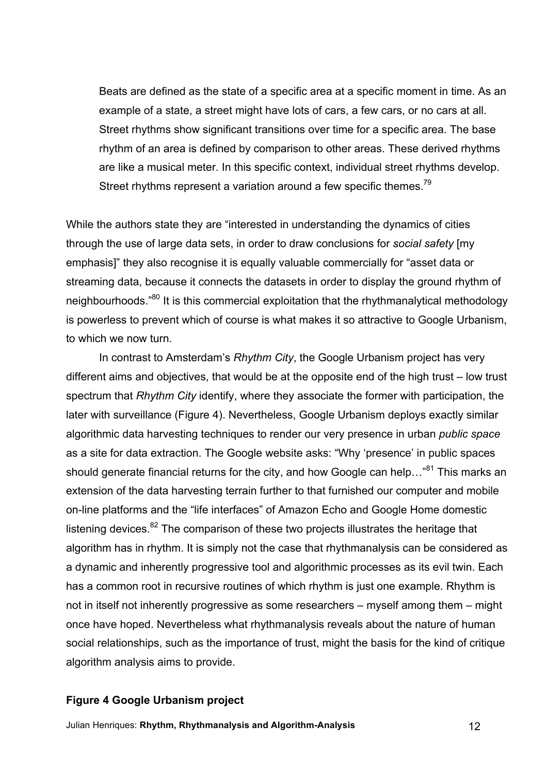Beats are defined as the state of a specific area at a specific moment in time. As an example of a state, a street might have lots of cars, a few cars, or no cars at all. Street rhythms show significant transitions over time for a specific area. The base rhythm of an area is defined by comparison to other areas. These derived rhythms are like a musical meter. In this specific context, individual street rhythms develop. Street rhythms represent a variation around a few specific themes.<sup>79</sup>

While the authors state they are "interested in understanding the dynamics of cities through the use of large data sets, in order to draw conclusions for *social safety* [my emphasis]" they also recognise it is equally valuable commercially for "asset data or streaming data, because it connects the datasets in order to display the ground rhythm of neighbourhoods."<sup>80</sup> It is this commercial exploitation that the rhythmanalytical methodology is powerless to prevent which of course is what makes it so attractive to Google Urbanism, to which we now turn.

In contrast to Amsterdam's *Rhythm City*, the Google Urbanism project has very different aims and objectives, that would be at the opposite end of the high trust – low trust spectrum that *Rhythm City* identify, where they associate the former with participation, the later with surveillance (Figure 4). Nevertheless, Google Urbanism deploys exactly similar algorithmic data harvesting techniques to render our very presence in urban *public space* as a site for data extraction. The Google website asks: "Why 'presence' in public spaces should generate financial returns for the city, and how Google can help..."<sup>81</sup> This marks an extension of the data harvesting terrain further to that furnished our computer and mobile on-line platforms and the "life interfaces" of Amazon Echo and Google Home domestic listening devices.<sup>82</sup> The comparison of these two projects illustrates the heritage that algorithm has in rhythm. It is simply not the case that rhythmanalysis can be considered as a dynamic and inherently progressive tool and algorithmic processes as its evil twin. Each has a common root in recursive routines of which rhythm is just one example. Rhythm is not in itself not inherently progressive as some researchers – myself among them – might once have hoped. Nevertheless what rhythmanalysis reveals about the nature of human social relationships, such as the importance of trust, might the basis for the kind of critique algorithm analysis aims to provide.

#### **Figure 4 Google Urbanism project**

Julian Henriques: **Rhythm, Rhythmanalysis and Algorithm-Analysis** 12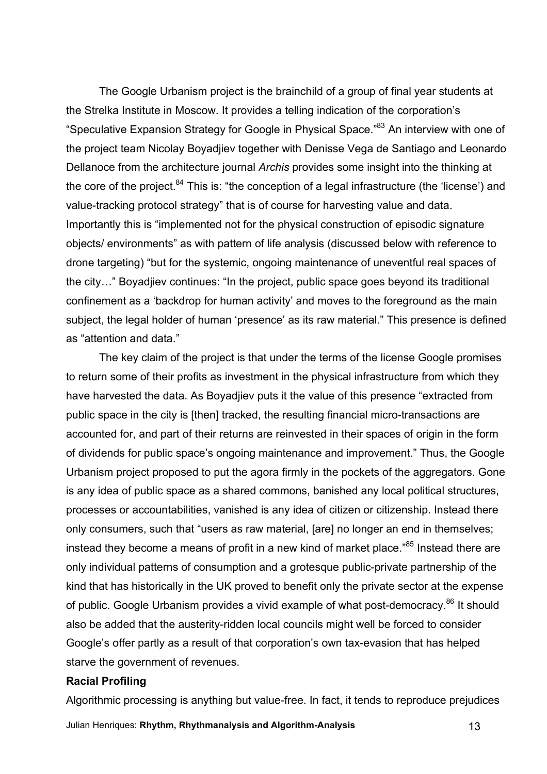The Google Urbanism project is the brainchild of a group of final year students at the Strelka Institute in Moscow. It provides a telling indication of the corporation's "Speculative Expansion Strategy for Google in Physical Space."<sup>83</sup> An interview with one of the project team Nicolay Boyadjiev together with Denisse Vega de Santiago and Leonardo Dellanoce from the architecture journal *Archis* provides some insight into the thinking at the core of the project.<sup>84</sup> This is: "the conception of a legal infrastructure (the 'license') and value-tracking protocol strategy" that is of course for harvesting value and data. Importantly this is "implemented not for the physical construction of episodic signature objects/ environments" as with pattern of life analysis (discussed below with reference to drone targeting) "but for the systemic, ongoing maintenance of uneventful real spaces of the city…" Boyadjiev continues: "In the project, public space goes beyond its traditional confinement as a 'backdrop for human activity' and moves to the foreground as the main subject, the legal holder of human 'presence' as its raw material." This presence is defined as "attention and data."

The key claim of the project is that under the terms of the license Google promises to return some of their profits as investment in the physical infrastructure from which they have harvested the data. As Boyadjiev puts it the value of this presence "extracted from public space in the city is [then] tracked, the resulting financial micro-transactions are accounted for, and part of their returns are reinvested in their spaces of origin in the form of dividends for public space's ongoing maintenance and improvement." Thus, the Google Urbanism project proposed to put the agora firmly in the pockets of the aggregators. Gone is any idea of public space as a shared commons, banished any local political structures, processes or accountabilities, vanished is any idea of citizen or citizenship. Instead there only consumers, such that "users as raw material, [are] no longer an end in themselves; instead they become a means of profit in a new kind of market place.<sup>"85</sup> Instead there are only individual patterns of consumption and a grotesque public-private partnership of the kind that has historically in the UK proved to benefit only the private sector at the expense of public. Google Urbanism provides a vivid example of what post-democracy.<sup>86</sup> It should also be added that the austerity-ridden local councils might well be forced to consider Google's offer partly as a result of that corporation's own tax-evasion that has helped starve the government of revenues.

#### **Racial Profiling**

Algorithmic processing is anything but value-free. In fact, it tends to reproduce prejudices

Julian Henriques: **Rhythm, Rhythmanalysis and Algorithm-Analysis** 13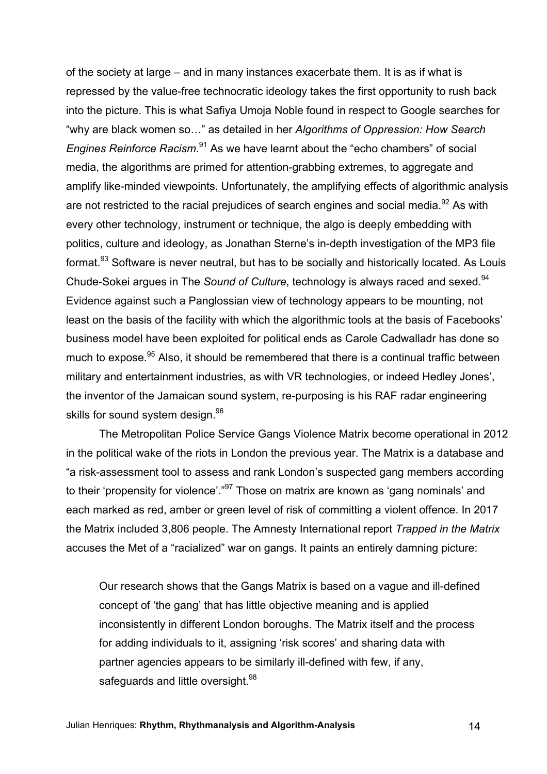of the society at large – and in many instances exacerbate them. It is as if what is repressed by the value-free technocratic ideology takes the first opportunity to rush back into the picture. This is what Safiya Umoja Noble found in respect to Google searches for "why are black women so…" as detailed in her *Algorithms of Oppression: How Search Engines Reinforce Racism*. <sup>91</sup> As we have learnt about the "echo chambers" of social media, the algorithms are primed for attention-grabbing extremes, to aggregate and amplify like-minded viewpoints. Unfortunately, the amplifying effects of algorithmic analysis are not restricted to the racial prejudices of search engines and social media.<sup>92</sup> As with every other technology, instrument or technique, the algo is deeply embedding with politics, culture and ideology, as Jonathan Sterne's in-depth investigation of the MP3 file format.<sup>93</sup> Software is never neutral, but has to be socially and historically located. As Louis Chude-Sokei argues in The *Sound of Culture*, technology is always raced and sexed.<sup>94</sup> Evidence against such a Panglossian view of technology appears to be mounting, not least on the basis of the facility with which the algorithmic tools at the basis of Facebooks' business model have been exploited for political ends as Carole Cadwalladr has done so much to expose.<sup>95</sup> Also, it should be remembered that there is a continual traffic between military and entertainment industries, as with VR technologies, or indeed Hedley Jones', the inventor of the Jamaican sound system, re-purposing is his RAF radar engineering skills for sound system design.<sup>96</sup>

The Metropolitan Police Service Gangs Violence Matrix become operational in 2012 in the political wake of the riots in London the previous year. The Matrix is a database and "a risk-assessment tool to assess and rank London's suspected gang members according to their 'propensity for violence'.<sup>"97</sup> Those on matrix are known as 'gang nominals' and each marked as red, amber or green level of risk of committing a violent offence. In 2017 the Matrix included 3,806 people. The Amnesty International report *Trapped in the Matrix*  accuses the Met of a "racialized" war on gangs. It paints an entirely damning picture:

Our research shows that the Gangs Matrix is based on a vague and ill-defined concept of 'the gang' that has little objective meaning and is applied inconsistently in different London boroughs. The Matrix itself and the process for adding individuals to it, assigning 'risk scores' and sharing data with partner agencies appears to be similarly ill-defined with few, if any, safeguards and little oversight.<sup>98</sup>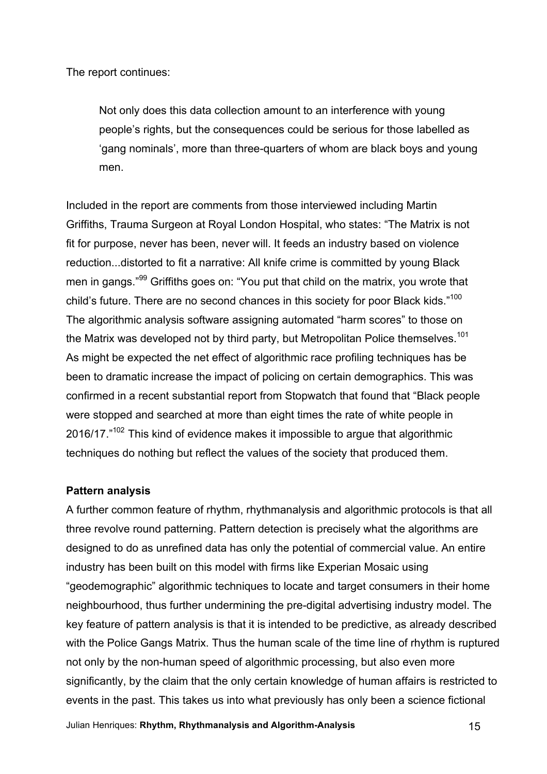The report continues:

Not only does this data collection amount to an interference with young people's rights, but the consequences could be serious for those labelled as 'gang nominals', more than three-quarters of whom are black boys and young men.

Included in the report are comments from those interviewed including Martin Griffiths, Trauma Surgeon at Royal London Hospital, who states: "The Matrix is not fit for purpose, never has been, never will. It feeds an industry based on violence reduction...distorted to fit a narrative: All knife crime is committed by young Black men in gangs."<sup>99</sup> Griffiths goes on: "You put that child on the matrix, you wrote that child's future. There are no second chances in this society for poor Black kids."<sup>100</sup> The algorithmic analysis software assigning automated "harm scores" to those on the Matrix was developed not by third party, but Metropolitan Police themselves.<sup>101</sup> As might be expected the net effect of algorithmic race profiling techniques has be been to dramatic increase the impact of policing on certain demographics. This was confirmed in a recent substantial report from Stopwatch that found that "Black people were stopped and searched at more than eight times the rate of white people in 2016/17."<sup>102</sup> This kind of evidence makes it impossible to argue that algorithmic techniques do nothing but reflect the values of the society that produced them.

### **Pattern analysis**

A further common feature of rhythm, rhythmanalysis and algorithmic protocols is that all three revolve round patterning. Pattern detection is precisely what the algorithms are designed to do as unrefined data has only the potential of commercial value. An entire industry has been built on this model with firms like Experian Mosaic using "geodemographic" algorithmic techniques to locate and target consumers in their home neighbourhood, thus further undermining the pre-digital advertising industry model. The key feature of pattern analysis is that it is intended to be predictive, as already described with the Police Gangs Matrix. Thus the human scale of the time line of rhythm is ruptured not only by the non-human speed of algorithmic processing, but also even more significantly, by the claim that the only certain knowledge of human affairs is restricted to events in the past. This takes us into what previously has only been a science fictional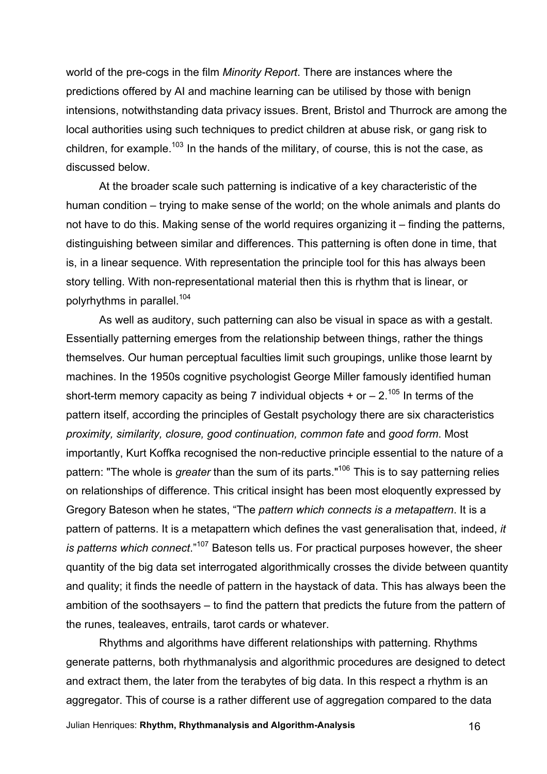world of the pre-cogs in the film *Minority Report*. There are instances where the predictions offered by AI and machine learning can be utilised by those with benign intensions, notwithstanding data privacy issues. Brent, Bristol and Thurrock are among the local authorities using such techniques to predict children at abuse risk, or gang risk to children, for example.<sup>103</sup> In the hands of the military, of course, this is not the case, as discussed below.

At the broader scale such patterning is indicative of a key characteristic of the human condition – trying to make sense of the world; on the whole animals and plants do not have to do this. Making sense of the world requires organizing it – finding the patterns, distinguishing between similar and differences. This patterning is often done in time, that is, in a linear sequence. With representation the principle tool for this has always been story telling. With non-representational material then this is rhythm that is linear, or polyrhythms in parallel.<sup>104</sup>

As well as auditory, such patterning can also be visual in space as with a gestalt. Essentially patterning emerges from the relationship between things, rather the things themselves. Our human perceptual faculties limit such groupings, unlike those learnt by machines. In the 1950s cognitive psychologist George Miller famously identified human short-term memory capacity as being 7 individual objects  $+$  or  $- 2$ .<sup>105</sup> In terms of the pattern itself, according the principles of Gestalt psychology there are six characteristics *proximity, similarity, closure, good continuation, common fate* and *good form*. Most importantly, Kurt Koffka recognised the non-reductive principle essential to the nature of a pattern: "The whole is *greater* than the sum of its parts." <sup>106</sup> This is to say patterning relies on relationships of difference. This critical insight has been most eloquently expressed by Gregory Bateson when he states, "The *pattern which connects is a metapattern*. It is a pattern of patterns. It is a metapattern which defines the vast generalisation that, indeed, *it*  is patterns which connect."<sup>107</sup> Bateson tells us. For practical purposes however, the sheer quantity of the big data set interrogated algorithmically crosses the divide between quantity and quality; it finds the needle of pattern in the haystack of data. This has always been the ambition of the soothsayers – to find the pattern that predicts the future from the pattern of the runes, tealeaves, entrails, tarot cards or whatever.

Rhythms and algorithms have different relationships with patterning. Rhythms generate patterns, both rhythmanalysis and algorithmic procedures are designed to detect and extract them, the later from the terabytes of big data. In this respect a rhythm is an aggregator. This of course is a rather different use of aggregation compared to the data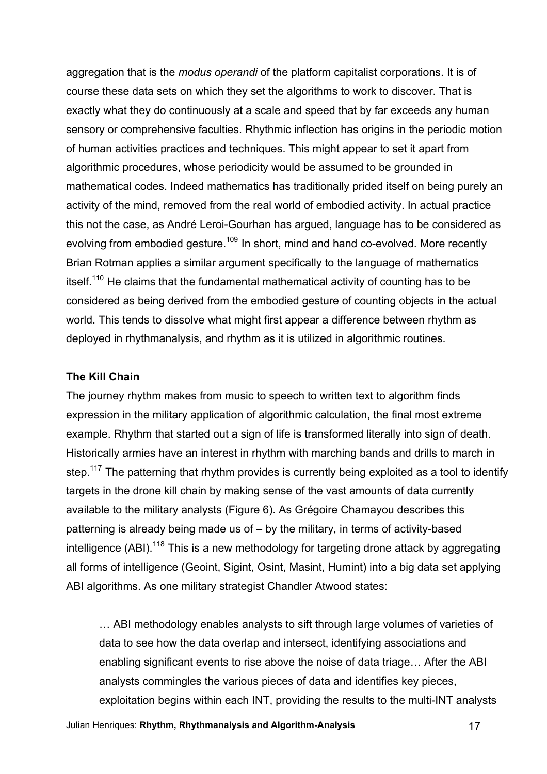aggregation that is the *modus operandi* of the platform capitalist corporations. It is of course these data sets on which they set the algorithms to work to discover. That is exactly what they do continuously at a scale and speed that by far exceeds any human sensory or comprehensive faculties. Rhythmic inflection has origins in the periodic motion of human activities practices and techniques. This might appear to set it apart from algorithmic procedures, whose periodicity would be assumed to be grounded in mathematical codes. Indeed mathematics has traditionally prided itself on being purely an activity of the mind, removed from the real world of embodied activity. In actual practice this not the case, as André Leroi-Gourhan has argued, language has to be considered as evolving from embodied gesture.<sup>109</sup> In short, mind and hand co-evolved. More recently Brian Rotman applies a similar argument specifically to the language of mathematics itself.<sup>110</sup> He claims that the fundamental mathematical activity of counting has to be considered as being derived from the embodied gesture of counting objects in the actual world. This tends to dissolve what might first appear a difference between rhythm as deployed in rhythmanalysis, and rhythm as it is utilized in algorithmic routines.

### **The Kill Chain**

The journey rhythm makes from music to speech to written text to algorithm finds expression in the military application of algorithmic calculation, the final most extreme example. Rhythm that started out a sign of life is transformed literally into sign of death. Historically armies have an interest in rhythm with marching bands and drills to march in step.<sup>117</sup> The patterning that rhythm provides is currently being exploited as a tool to identify targets in the drone kill chain by making sense of the vast amounts of data currently available to the military analysts (Figure 6). As Grégoire Chamayou describes this patterning is already being made us of – by the military, in terms of activity-based intelligence (ABI).<sup>118</sup> This is a new methodology for targeting drone attack by aggregating all forms of intelligence (Geoint, Sigint, Osint, Masint, Humint) into a big data set applying ABI algorithms. As one military strategist Chandler Atwood states:

… ABI methodology enables analysts to sift through large volumes of varieties of data to see how the data overlap and intersect, identifying associations and enabling significant events to rise above the noise of data triage… After the ABI analysts commingles the various pieces of data and identifies key pieces, exploitation begins within each INT, providing the results to the multi-INT analysts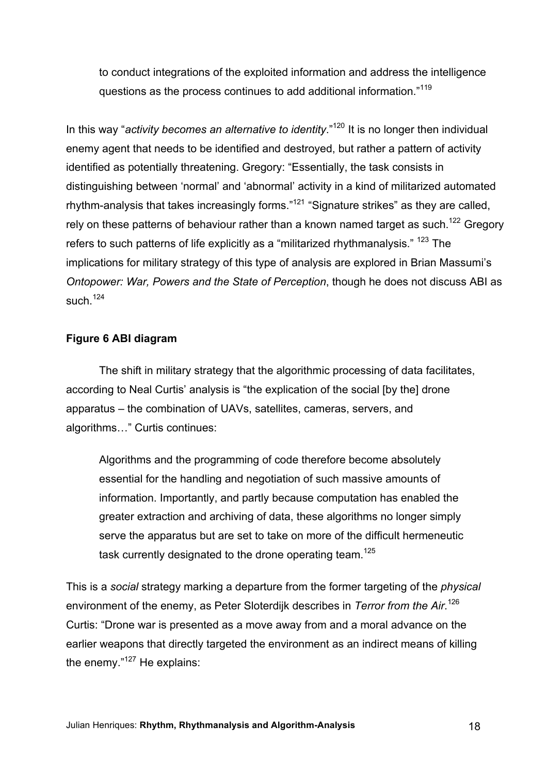to conduct integrations of the exploited information and address the intelligence questions as the process continues to add additional information."<sup>119</sup>

In this way "*activity becomes an alternative to identity*."<sup>120</sup> It is no longer then individual enemy agent that needs to be identified and destroyed, but rather a pattern of activity identified as potentially threatening. Gregory: "Essentially, the task consists in distinguishing between 'normal' and 'abnormal' activity in a kind of militarized automated rhythm-analysis that takes increasingly forms."<sup>121</sup> "Signature strikes" as they are called, rely on these patterns of behaviour rather than a known named target as such.<sup>122</sup> Gregory refers to such patterns of life explicitly as a "militarized rhythmanalysis." <sup>123</sup> The implications for military strategy of this type of analysis are explored in Brian Massumi's *Ontopower: War, Powers and the State of Perception*, though he does not discuss ABI as such  $124$ 

### **Figure 6 ABI diagram**

The shift in military strategy that the algorithmic processing of data facilitates, according to Neal Curtis' analysis is "the explication of the social [by the] drone apparatus – the combination of UAVs, satellites, cameras, servers, and algorithms…" Curtis continues:

Algorithms and the programming of code therefore become absolutely essential for the handling and negotiation of such massive amounts of information. Importantly, and partly because computation has enabled the greater extraction and archiving of data, these algorithms no longer simply serve the apparatus but are set to take on more of the difficult hermeneutic task currently designated to the drone operating team.<sup>125</sup>

This is a *social* strategy marking a departure from the former targeting of the *physical* environment of the enemy, as Peter Sloterdijk describes in *Terror from the Air*. 126 Curtis: "Drone war is presented as a move away from and a moral advance on the earlier weapons that directly targeted the environment as an indirect means of killing the enemy."<sup>127</sup> He explains: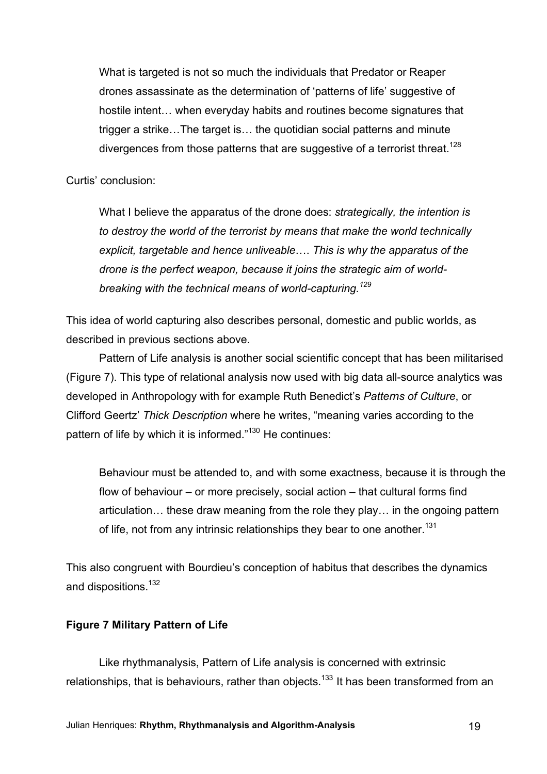What is targeted is not so much the individuals that Predator or Reaper drones assassinate as the determination of 'patterns of life' suggestive of hostile intent… when everyday habits and routines become signatures that trigger a strike…The target is… the quotidian social patterns and minute divergences from those patterns that are suggestive of a terrorist threat.<sup>128</sup>

Curtis' conclusion:

What I believe the apparatus of the drone does: *strategically, the intention is to destroy the world of the terrorist by means that make the world technically explicit, targetable and hence unliveable*…. *This is why the apparatus of the drone is the perfect weapon, because it joins the strategic aim of worldbreaking with the technical means of world-capturing.<sup>129</sup>*

This idea of world capturing also describes personal, domestic and public worlds, as described in previous sections above.

Pattern of Life analysis is another social scientific concept that has been militarised (Figure 7). This type of relational analysis now used with big data all-source analytics was developed in Anthropology with for example Ruth Benedict's *Patterns of Culture*, or Clifford Geertz' *Thick Description* where he writes, "meaning varies according to the pattern of life by which it is informed."<sup>130</sup> He continues:

Behaviour must be attended to, and with some exactness, because it is through the flow of behaviour – or more precisely, social action – that cultural forms find articulation… these draw meaning from the role they play… in the ongoing pattern of life, not from any intrinsic relationships they bear to one another.<sup>131</sup>

This also congruent with Bourdieu's conception of habitus that describes the dynamics and dispositions.<sup>132</sup>

# **Figure 7 Military Pattern of Life**

Like rhythmanalysis, Pattern of Life analysis is concerned with extrinsic relationships, that is behaviours, rather than objects.<sup>133</sup> It has been transformed from an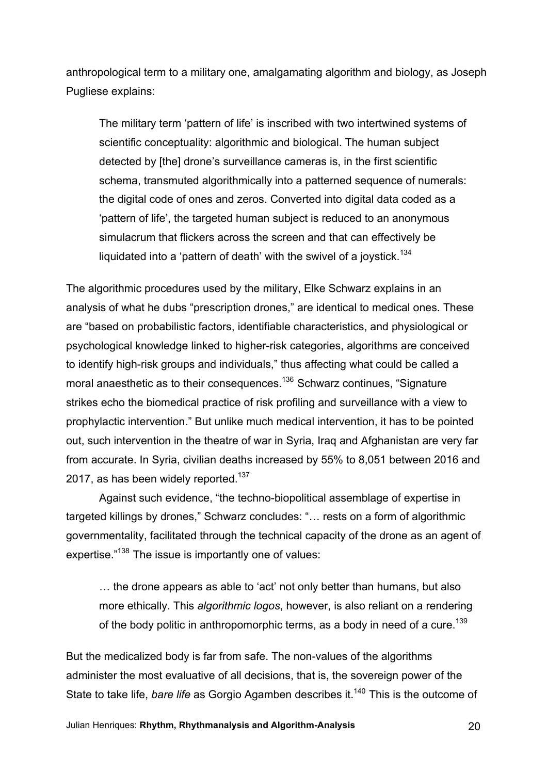anthropological term to a military one, amalgamating algorithm and biology, as Joseph Pugliese explains:

The military term 'pattern of life' is inscribed with two intertwined systems of scientific conceptuality: algorithmic and biological. The human subject detected by [the] drone's surveillance cameras is, in the first scientific schema, transmuted algorithmically into a patterned sequence of numerals: the digital code of ones and zeros. Converted into digital data coded as a 'pattern of life', the targeted human subject is reduced to an anonymous simulacrum that flickers across the screen and that can effectively be liquidated into a 'pattern of death' with the swivel of a joystick.<sup>134</sup>

The algorithmic procedures used by the military, Elke Schwarz explains in an analysis of what he dubs "prescription drones," are identical to medical ones. These are "based on probabilistic factors, identifiable characteristics, and physiological or psychological knowledge linked to higher-risk categories, algorithms are conceived to identify high-risk groups and individuals," thus affecting what could be called a moral anaesthetic as to their consequences.<sup>136</sup> Schwarz continues, "Signature strikes echo the biomedical practice of risk profiling and surveillance with a view to prophylactic intervention." But unlike much medical intervention, it has to be pointed out, such intervention in the theatre of war in Syria, Iraq and Afghanistan are very far from accurate. In Syria, civilian deaths increased by 55% to 8,051 between 2016 and 2017, as has been widely reported.<sup>137</sup>

Against such evidence, "the techno-biopolitical assemblage of expertise in targeted killings by drones," Schwarz concludes: "… rests on a form of algorithmic governmentality, facilitated through the technical capacity of the drone as an agent of expertise."<sup>138</sup> The issue is importantly one of values:

… the drone appears as able to 'act' not only better than humans, but also more ethically. This *algorithmic logos*, however, is also reliant on a rendering of the body politic in anthropomorphic terms, as a body in need of a cure.<sup>139</sup>

But the medicalized body is far from safe. The non-values of the algorithms administer the most evaluative of all decisions, that is, the sovereign power of the State to take life, *bare life* as Gorgio Agamben describes it. <sup>140</sup> This is the outcome of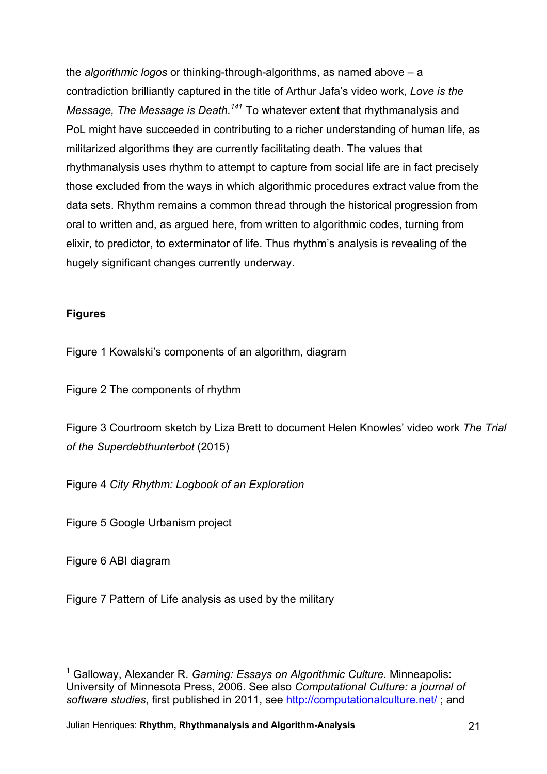the *algorithmic logos* or thinking-through-algorithms, as named above – a contradiction brilliantly captured in the title of Arthur Jafa's video work, *Love is the Message, The Message is Death.<sup>141</sup>* To whatever extent that rhythmanalysis and PoL might have succeeded in contributing to a richer understanding of human life, as militarized algorithms they are currently facilitating death. The values that rhythmanalysis uses rhythm to attempt to capture from social life are in fact precisely those excluded from the ways in which algorithmic procedures extract value from the data sets. Rhythm remains a common thread through the historical progression from oral to written and, as argued here, from written to algorithmic codes, turning from elixir, to predictor, to exterminator of life. Thus rhythm's analysis is revealing of the hugely significant changes currently underway.

# **Figures**

Figure 1 Kowalski's components of an algorithm, diagram

Figure 2 The components of rhythm

Figure 3 Courtroom sketch by Liza Brett to document Helen Knowles' video work *The Trial of the Superdebthunterbot* (2015)

Figure 4 *City Rhythm: Logbook of an Exploration*

Figure 5 Google Urbanism project

Figure 6 ABI diagram

Figure 7 Pattern of Life analysis as used by the military

<sup>1</sup> Galloway, Alexander R. *Gaming: Essays on Algorithmic Culture*. Minneapolis: University of Minnesota Press, 2006. See also *Computational Culture: a journal of software studies*, first published in 2011, see http://computationalculture.net/ ; and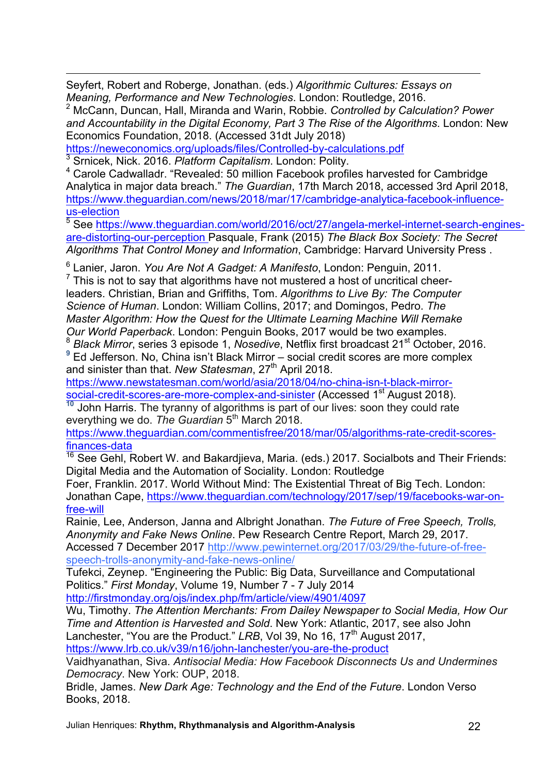1 Seyfert, Robert and Roberge, Jonathan. (eds.) *Algorithmic Cultures: Essays on Meaning, Performance and New Technologies*. London: Routledge, 2016.<br><sup>2</sup> McCann, Duncan, Hall, Miranda and Warin, Robbie. *Controlled by Calculation? Power* 

*and Accountability in the Digital Economy, Part 3 The Rise of the Algorithms*. London: New Economics Foundation, 2018. (Accessed 31dt July 2018)

https://neweconomics.org/uploads/files/Controlled-by-calculations.pdf

<sup>3</sup> Srnicek, Nick. 2016. *Platform Capitalism*. London: Polity.

<sup>4</sup> Carole Cadwalladr. "Revealed: 50 million Facebook profiles harvested for Cambridge Analytica in major data breach." *The Guardian*, 17th March 2018, accessed 3rd April 2018, https://www.theguardian.com/news/2018/mar/17/cambridge-analytica-facebook-influenceus-election<br>
<sup>5</sup> See https://www.theguardian.com/world/2016/oct/27/angela-merkel-internet-search-engines-

are-distorting-our-perception Pasquale, Frank (2015) *The Black Box Society: The Secret Algorithms That Control Money and Information*, Cambridge: Harvard University Press .

<sup>6</sup> Lanier, Jaron. *You Are Not A Gadget: A Manifesto*, London: Penguin, 2011.

 $<sup>7</sup>$  This is not to say that algorithms have not mustered a host of uncritical cheer-</sup> leaders. Christian, Brian and Griffiths, Tom. *Algorithms to Live By: The Computer Science of Human*. London: William Collins, 2017; and Domingos, Pedro. *The Master Algorithm: How the Quest for the Ultimate Learning Machine Will Remake Our World Paperback*. London: Penguin Books, 2017 would be two examples.<br><sup>8</sup> *Black Mirror*, series 3 episode 1, *Nosedive*, Netflix first broadcast 21<sup>st</sup> October, 2016.

<sup>9</sup> Ed Jefferson. No, China isn't Black Mirror – social credit scores are more complex and sinister than that. *New Statesman*, 27<sup>th</sup> April 2018.

https://www.newstatesman.com/world/asia/2018/04/no-china-isn-t-black-mirrorsocial-credit-scores-are-more-complex-and-sinister (Accessed 1<sup>st</sup> August 2018).

**<sup>10</sup>** John Harris. The tyranny of algorithms is part of our lives: soon they could rate everything we do. *The Guardian* 5th March 2018.

https://www.theguardian.com/commentisfree/2018/mar/05/algorithms-rate-credit-scoresfinances-data

 $\frac{16}{16}$  See Gehl, Robert W. and Bakardjieva, Maria. (eds.) 2017. Socialbots and Their Friends: Digital Media and the Automation of Sociality. London: Routledge

Foer, Franklin. 2017. World Without Mind: The Existential Threat of Big Tech. London: Jonathan Cape, https://www.theguardian.com/technology/2017/sep/19/facebooks-war-onfree-will

Rainie, Lee, Anderson, Janna and Albright Jonathan. *The Future of Free Speech, Trolls, Anonymity and Fake News Online*. Pew Research Centre Report, March 29, 2017. Accessed 7 December 2017 http://www.pewinternet.org/2017/03/29/the-future-of-freespeech-trolls-anonymity-and-fake-news-online/

Tufekci, Zeynep. "Engineering the Public: Big Data, Surveillance and Computational Politics." *First Monday*, Volume 19, Number 7 - 7 July 2014

http://firstmonday.org/ojs/index.php/fm/article/view/4901/4097

Wu, Timothy. *The Attention Merchants: From Dailey Newspaper to Social Media, How Our Time and Attention is Harvested and Sold*. New York: Atlantic, 2017, see also John Lanchester, "You are the Product." LRB, Vol 39, No 16, 17<sup>th</sup> August 2017, https://www.lrb.co.uk/v39/n16/john-lanchester/you-are-the-product

Vaidhyanathan, Siva. *Antisocial Media: How Facebook Disconnects Us and Undermines Democracy*. New York: OUP, 2018.

Bridle, James. *New Dark Age: Technology and the End of the Future*. London Verso Books, 2018.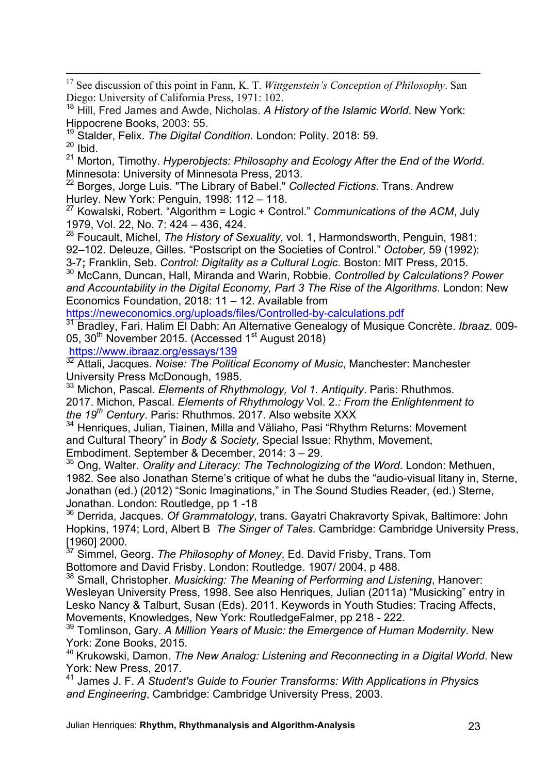17 See discussion of this point in Fann, K. T. *Wittgenstein's Conception of Philosophy*. San Diego: University of California Press, 1971: 102.

<sup>18</sup> Hill, Fred James and Awde, Nicholas. *A History of the Islamic World*. New York: Hippocrene Books, 2003: 55.

<sup>19</sup> Stalder, Felix. *The Digital Condition.* London: Polity. 2018: 59.

 $20$  Ibid.

<sup>21</sup> Morton, Timothy. *Hyperobjects: Philosophy and Ecology After the End of the World*. Minnesota: University of Minnesota Press, 2013.

<sup>22</sup> Borges, Jorge Luis. "The Library of Babel." *Collected Fictions*. Trans. Andrew Hurley. New York: Penguin, 1998: 112 – 118.

<sup>27</sup> Kowalski, Robert. "Algorithm = Logic + Control." *Communications of the ACM*, July 1979, Vol. 22, No. 7: 424 – 436, 424.

<sup>28</sup> Foucault, Michel, *The History of Sexuality*, vol. 1, Harmondsworth, Penguin, 1981: 92–102. Deleuze, Gilles. "Postscript on the Societies of Control." *October,* 59 (1992):

3-7**;** Franklin, Seb. *Control: Digitality as a Cultural Logic*. Boston: MIT Press, 2015.

<sup>30</sup> McCann, Duncan, Hall, Miranda and Warin, Robbie. *Controlled by Calculations? Power and Accountability in the Digital Economy, Part 3 The Rise of the Algorithms*. London: New Economics Foundation, 2018: 11 – 12. Available from

https://neweconomics.org/uploads/files/Controlled-by-calculations.pdf

<sup>31</sup> Bradley, Fari. Halim El Dabh: An Alternative Genealogy of Musique Concrète. *Ibraaz*. 009- 05, 30<sup>th</sup> November 2015. (Accessed 1<sup>st</sup> August 2018)

https://www.ibraaz.org/essays/139

<sup>32</sup> Attali, Jacques. *Noise: The Political Economy of Music*, Manchester: Manchester University Press McDonough, 1985.

<sup>33</sup> Michon, Pascal. *Elements of Rhythmology, Vol 1. Antiquity*. Paris: Rhuthmos. 2017. Michon, Pascal. *Elements of Rhythmology* Vol. 2.*: From the Enlightenment to the 19th Century*. Paris: Rhuthmos. 2017. Also website XXX

<sup>34</sup> Henriques, Julian, Tiainen, Milla and Väliaho, Pasi "Rhythm Returns: Movement and Cultural Theory" in *Body & Society*, Special Issue: Rhythm, Movement,

Embodiment. September & December, 2014: 3 – 29.

<sup>35</sup> Ong, Walter. *Orality and Literacy: The Technologizing of the Word*. London: Methuen, 1982. See also Jonathan Sterne's critique of what he dubs the "audio-visual litany in, Sterne, Jonathan (ed.) (2012) "Sonic Imaginations," in The Sound Studies Reader, (ed.) Sterne, Jonathan. London: Routledge, pp 1 -18

<sup>36</sup> Derrida, Jacques. *Of Grammatology*, trans. Gayatri Chakravorty Spivak, Baltimore: John Hopkins, 1974; Lord, Albert B *The Singer of Tales*. Cambridge: Cambridge University Press,

[1960] 2000. <sup>37</sup> Simmel, Georg. *The Philosophy of Money*. Ed. David Frisby, Trans. Tom Bottomore and David Frisby. London: Routledge. 1907/ 2004, p 488.

<sup>38</sup> Small, Christopher. *Musicking: The Meaning of Performing and Listening*, Hanover: Wesleyan University Press, 1998. See also Henriques, Julian (2011a) "Musicking" entry in Lesko Nancy & Talburt, Susan (Eds). 2011. Keywords in Youth Studies: Tracing Affects, Movements, Knowledges, New York: RoutledgeFalmer, pp 218 - 222.

<sup>39</sup> Tomlinson, Gary. *A Million Years of Music: the Emergence of Human Modernity*. New

York: Zone Books, 2015.<br><sup>40</sup> Krukowski, Damon. *The New Analog: Listening and Reconnecting in a Digital World.* New York: New Press, 2017.<br><sup>41</sup> James J. F. *A Student's Guide to Fourier Transforms: With Applications in Physics* 

*and Engineering*, Cambridge: Cambridge University Press, 2003.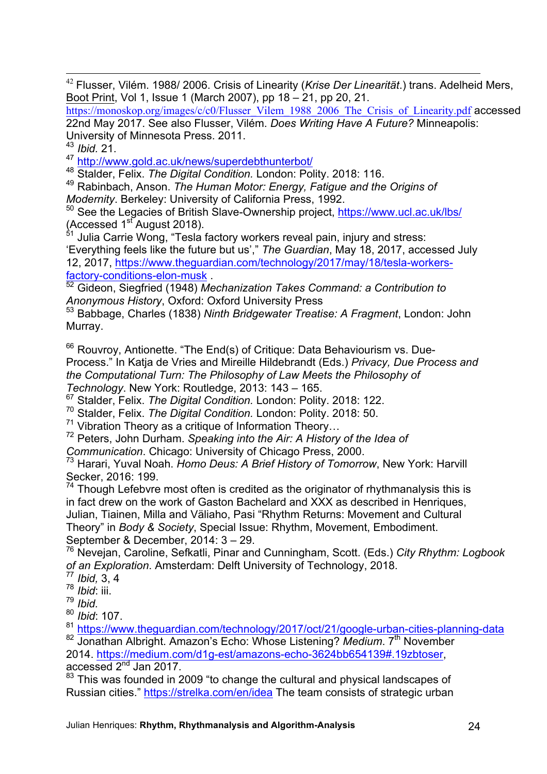42 Flusser, Vilém. 1988/ 2006. Crisis of Linearity (*Krise Der Linearität*.) trans. Adelheid Mers, Boot Print, Vol 1, Issue 1 (March 2007), pp 18 – 21, pp 20, 21.

https://monoskop.org/images/c/c0/Flusser\_Vilem\_1988\_2006\_The\_Crisis\_of\_Linearity.pdf accessed 22nd May 2017. See also Flusser, Vilém. *Does Writing Have A Future?* Minneapolis: University of Minnesota Press. 2011.

43 *Ibid.* 21.<br><sup>47</sup> http://www.gold.ac.uk/news/superdebthunterbot/

48 Stalder, Felix. The Digital Condition. London: Polity. 2018: 116.

<sup>49</sup> Rabinbach, Anson. *The Human Motor: Energy, Fatigue and the Origins of Modernity*. Berkeley: University of California Press, 1992.

<sup>50</sup> See the Legacies of British Slave-Ownership project, https://www.ucl.ac.uk/lbs/ (Accessed  $1<sup>st</sup>$  August 2018).

 $51$  Julia Carrie Wong, "Tesla factory workers reveal pain, injury and stress: 'Everything feels like the future but us'," *The Guardian*, May 18, 2017, accessed July 12, 2017, https://www.theguardian.com/technology/2017/may/18/tesla-workersfactory-conditions-elon-musk . <sup>52</sup> Gideon, Siegfried (1948) *Mechanization Takes Command: a Contribution to* 

*Anonymous History*, Oxford: Oxford University Press

<sup>53</sup> Babbage, Charles (1838) *Ninth Bridgewater Treatise: A Fragment*, London: John Murray.

 $66$  Rouvrov, Antionette. "The End(s) of Critique: Data Behaviourism vs. Due-Process." In Katja de Vries and Mireille Hildebrandt (Eds.) *Privacy, Due Process and the Computational Turn: The Philosophy of Law Meets the Philosophy of Technology*. New York: Routledge, 2013: 143 – 165.

<sup>67</sup> Stalder, Felix. *The Digital Condition.* London: Polity. 2018: 122.

<sup>70</sup> Stalder, Felix. *The Digital Condition.* London: Polity. 2018: 50.

<sup>71</sup> Vibration Theory as a critique of Information Theory… <sup>72</sup> Peters, John Durham. *Speaking into the Air: A History of the Idea of* 

*Communication.* Chicago: University of Chicago Press, 2000.<br><sup>73</sup> Harari, Yuval Noah. *Homo Deus: A Brief History of Tomorrow*, New York: Harvill Secker, 2016: 199.

 $74$  Though Lefebvre most often is credited as the originator of rhythmanalysis this is in fact drew on the work of Gaston Bachelard and XXX as described in Henriques, Julian, Tiainen, Milla and Väliaho, Pasi "Rhythm Returns: Movement and Cultural Theory" in *Body & Society*, Special Issue: Rhythm, Movement, Embodiment. September & December, 2014: 3 – 29.

<sup>76</sup> Nevejan, Caroline, Sefkatli, Pinar and Cunningham, Scott. (Eds.) *City Rhythm: Logbook of an Exploration*. Amsterdam: Delft University of Technology, 2018.

<sup>77</sup> *Ibid,* 3, 4

<sup>78</sup> *Ibid*: iii.

<sup>79</sup> *Ibid.*

<sup>80</sup> *Ibid*: 107.

<sup>81</sup> https://www.theguardian.com/technology/2017/oct/21/google-urban-cities-planning-data <sup>82</sup> Jonathan Albright. Amazon's Echo: Whose Listening? *Medium*. 7<sup>th</sup> November 2014. https://medium.com/d1g-est/amazons-echo-3624bb654139#.19zbtoser, accessed 2nd Jan 2017.

 $83$  This was founded in 2009 "to change the cultural and physical landscapes of Russian cities." https://strelka.com/en/idea The team consists of strategic urban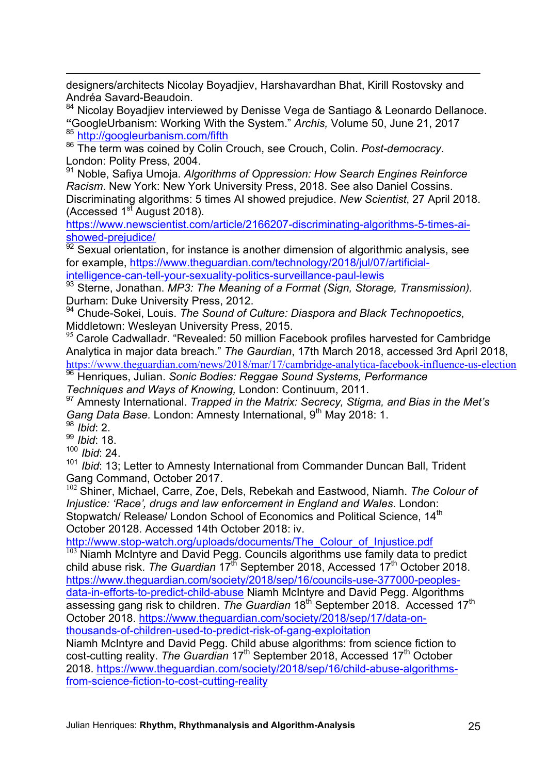designers/architects Nicolay Boyadjiev, Harshavardhan Bhat, Kirill Rostovsky and Andréa Savard-Beaudoin.

84 Nicolay Boyadjiev interviewed by Denisse Vega de Santiago & Leonardo Dellanoce. **"**GoogleUrbanism: Working With the System." *Archis,* Volume 50, June 21, 2017 <sup>85</sup> http://googleurbanism.com/fifth

<sup>86</sup> The term was coined by Colin Crouch, see Crouch, Colin. *Post-democracy*. London: Polity Press, 2004.

<sup>91</sup> Noble, Safiya Umoja. *Algorithms of Oppression: How Search Engines Reinforce Racism*. New York: New York University Press, 2018. See also Daniel Cossins. Discriminating algorithms: 5 times AI showed prejudice. *New Scientist*, 27 April 2018. (Accessed  $1<sup>st</sup>$  August 2018).

https://www.newscientist.com/article/2166207-discriminating-algorithms-5-times-aishowed-prejudice/

92 Sexual orientation, for instance is another dimension of algorithmic analysis, see for example, https://www.theguardian.com/technology/2018/jul/07/artificialintelligence-can-tell-your-sexuality-politics-surveillance-paul-lewis

<sup>93</sup> Sterne, Jonathan. *MP3: The Meaning of a Format (Sign, Storage, Transmission).*  Durham: Duke University Press, 2012.

<sup>94</sup> Chude-Sokei, Louis. *The Sound of Culture: Diaspora and Black Technopoetics*, Middletown: Wesleyan University Press, 2015.

 $95$  Carole Cadwalladr. "Revealed: 50 million Facebook profiles harvested for Cambridge Analytica in major data breach." *The Gaurdian*, 17th March 2018, accessed 3rd April 2018, https://www.theguardian.com/news/2018/mar/17/cambridge-analytica-facebook-influence-us-election 96 Henriques, Julian. *Sonic Bodies: Reggae Sound Systems, Performance* 

*Techniques and Ways of Knowing,* London: Continuum, 2011.

<sup>97</sup> Amnesty International. *Trapped in the Matrix: Secrecy, Stigma, and Bias in the Met's Gang Data Base.* London: Amnesty International, 9<sup>th</sup> May 2018: 1.<br><sup>98</sup> *Ibid*: 2.

1

<sup>99</sup> *Ibid*: 18.

<sup>100</sup> *Ibid*: 24.

<sup>101</sup> *Ibid*: 13; Letter to Amnesty International from Commander Duncan Ball, Trident Gang Command, October 2017.

<sup>102</sup> Shiner, Michael, Carre, Zoe, Dels, Rebekah and Eastwood, Niamh. *The Colour of Injustice: 'Race', drugs and law enforcement in England and Wales*. London: Stopwatch/ Release/ London School of Economics and Political Science, 14<sup>th</sup> October 20128. Accessed 14th October 2018: iv.

http://www.stop-watch.org/uploads/documents/The\_Colour\_of\_Injustice.pdf

Niamh McIntyre and David Pegg. Councils algorithms use family data to predict child abuse risk. *The Guardian* 17th September 2018, Accessed 17th October 2018. https://www.theguardian.com/society/2018/sep/16/councils-use-377000-peoplesdata-in-efforts-to-predict-child-abuse Niamh McIntyre and David Pegg. Algorithms assessing gang risk to children. *The Guardian* 18<sup>th</sup> September 2018. Accessed 17<sup>th</sup> October 2018. https://www.theguardian.com/society/2018/sep/17/data-onthousands-of-children-used-to-predict-risk-of-gang-exploitation

Niamh McIntyre and David Pegg. Child abuse algorithms: from science fiction to cost-cutting reality. *The Guardian* 17<sup>th</sup> September 2018, Accessed 17<sup>th</sup> October 2018. https://www.theguardian.com/society/2018/sep/16/child-abuse-algorithmsfrom-science-fiction-to-cost-cutting-reality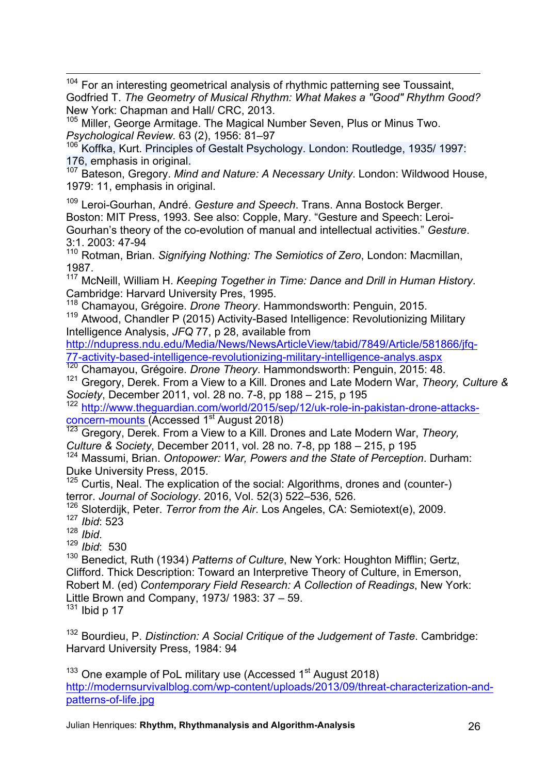<sup>104</sup> For an interesting geometrical analysis of rhythmic patterning see Toussaint, Godfried T. *The Geometry of Musical Rhythm: What Makes a "Good" Rhythm Good?*  New York: Chapman and Hall/ CRC, 2013.

<sup>105</sup> Miller, George Armitage. The Magical Number Seven, Plus or Minus Two. *Psychological Review.* 63 (2), 1956: 81–97

<sup>106</sup> Koffka, Kurt. Principles of Gestalt Psychology. London: Routledge, 1935/ 1997: 176, emphasis in original.<br><sup>107</sup> Bateson, Gregory. *Mind and Nature: A Necessary Unity*. London: Wildwood House,

1979: 11, emphasis in original.

<sup>109</sup> Leroi-Gourhan, André. *Gesture and Speech*. Trans. Anna Bostock Berger. Boston: MIT Press, 1993. See also: Copple, Mary. "Gesture and Speech: Leroi-Gourhan's theory of the co-evolution of manual and intellectual activities." *Gesture*. 3:1. 2003: 47-94

<sup>110</sup> Rotman, Brian. *Signifying Nothing: The Semiotics of Zero*, London: Macmillan, 1987.

<sup>117</sup> McNeill, William H. *Keeping Together in Time: Dance and Drill in Human History*. Cambridge: Harvard University Pres, 1995.<br><sup>118</sup> Chamayou, Grégoire. *Drone Theory*. Hammondsworth: Penguin, 2015.

<sup>119</sup> Atwood, Chandler P (2015) Activity-Based Intelligence: Revolutionizing Military Intelligence Analysis, *JFQ* 77, p 28, available from

http://ndupress.ndu.edu/Media/News/NewsArticleView/tabid/7849/Article/581866/jfq-77-activity-based-intelligence-revolutionizing-military-intelligence-analys.aspx <sup>120</sup> Chamayou, Grégoire. *Drone Theory*. Hammondsworth: Penguin, 2015: 48.

<sup>121</sup> Gregory, Derek. From a View to a Kill*.* Drones and Late Modern War, *Theory, Culture &* 

*Society*, December 2011, vol. 28 no. 7-8, pp 188 – 215, p 195

<sup>122</sup> http://www.theguardian.com/world/2015/sep/12/uk-role-in-pakistan-drone-attacksconcern-mounts (Accessed 1<sup>st</sup> August 2018)

<sup>123</sup> Gregory, Derek. From a View to a Kill*.* Drones and Late Modern War, *Theory, Culture & Society*, December 2011, vol. 28 no. 7-8, pp 188 – 215, p 195

<sup>124</sup> Massumi, Brian. *Ontopower: War, Powers and the State of Perception*. Durham: Duke University Press, 2015.

<sup>125</sup> Curtis, Neal. The explication of the social: Algorithms, drones and (counter-) terror. *Journal of Sociology*. 2016, Vol. 52(3) 522–536, 526.

<sup>126</sup> Sloterdijk, Peter. *Terror from the Air*. Los Angeles, CA: Semiotext(e), 2009. <sup>127</sup> *Ibid*: 523

<sup>128</sup> *Ibid*. <sup>129</sup> *Ibid*: 530

<sup>130</sup> Benedict, Ruth (1934) *Patterns of Culture*, New York: Houghton Mifflin; Gertz, Clifford. Thick Description: Toward an Interpretive Theory of Culture, in Emerson, Robert M. (ed) *Contemporary Field Research: A Collection of Readings*, New York: Little Brown and Company, 1973/ 1983: 37 – 59.

 $131$  Ibid p 17

<sup>132</sup> Bourdieu, P. *Distinction: A Social Critique of the Judgement of Taste*. Cambridge: Harvard University Press, 1984: 94

 $133$  One example of PoL military use (Accessed  $1<sup>st</sup>$  August 2018) http://modernsurvivalblog.com/wp-content/uploads/2013/09/threat-characterization-andpatterns-of-life.jpg